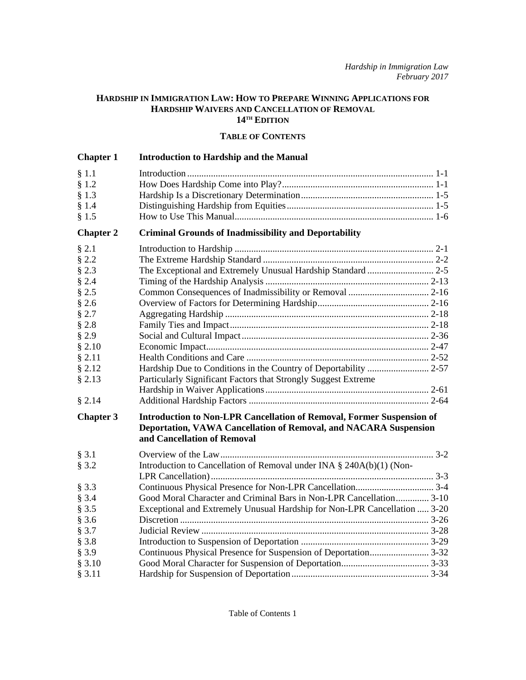#### **HARDSHIP IN IMMIGRATION LAW: HOW TO PREPARE WINNING APPLICATIONS FOR HARDSHIP WAIVERS AND CANCELLATION OF REMOVAL 14TH EDITION**

#### **TABLE OF CONTENTS**

| <b>Chapter 1</b>                                           | <b>Introduction to Hardship and the Manual</b>                                                                                                                                  |  |
|------------------------------------------------------------|---------------------------------------------------------------------------------------------------------------------------------------------------------------------------------|--|
| § 1.1<br>§ 1.2<br>$§$ 1.3<br>§ 1.4<br>§ 1.5                |                                                                                                                                                                                 |  |
| <b>Chapter 2</b>                                           | <b>Criminal Grounds of Inadmissibility and Deportability</b>                                                                                                                    |  |
| $§$ 2.1<br>$§$ 2.2<br>$§$ 2.3<br>$§$ 2.4<br>§ 2.5<br>§ 2.6 |                                                                                                                                                                                 |  |
| $§$ 2.7<br>$§$ 2.8                                         |                                                                                                                                                                                 |  |
| $§$ 2.9<br>§ 2.10                                          |                                                                                                                                                                                 |  |
| § 2.11<br>§ 2.12<br>§ 2.13                                 | Particularly Significant Factors that Strongly Suggest Extreme                                                                                                                  |  |
| \$2.14                                                     |                                                                                                                                                                                 |  |
| <b>Chapter 3</b>                                           | <b>Introduction to Non-LPR Cancellation of Removal, Former Suspension of</b><br>Deportation, VAWA Cancellation of Removal, and NACARA Suspension<br>and Cancellation of Removal |  |
| § 3.1<br>§ 3.2                                             | Introduction to Cancellation of Removal under INA $\S$ 240A(b)(1) (Non-                                                                                                         |  |
| § 3.3<br>§ 3.4                                             | Good Moral Character and Criminal Bars in Non-LPR Cancellation 3-10                                                                                                             |  |
| § 3.5<br>§ 3.6<br>§ 3.7                                    | Exceptional and Extremely Unusual Hardship for Non-LPR Cancellation  3-20                                                                                                       |  |
| § 3.8<br>$§$ 3.9                                           |                                                                                                                                                                                 |  |
| § 3.10<br>§ 3.11                                           |                                                                                                                                                                                 |  |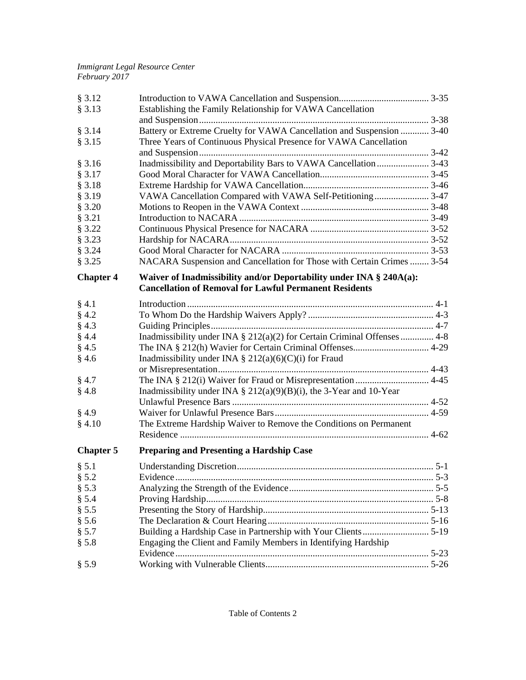## *Immigrant Legal Resource Center February 2017*

| § 3.12           |                                                                          |  |
|------------------|--------------------------------------------------------------------------|--|
| § 3.13           | Establishing the Family Relationship for VAWA Cancellation               |  |
|                  |                                                                          |  |
| § 3.14           | Battery or Extreme Cruelty for VAWA Cancellation and Suspension  3-40    |  |
| § 3.15           | Three Years of Continuous Physical Presence for VAWA Cancellation        |  |
|                  |                                                                          |  |
| § 3.16           | Inadmissibility and Deportability Bars to VAWA Cancellation 3-43         |  |
| § 3.17           |                                                                          |  |
| § 3.18           |                                                                          |  |
| § 3.19           | VAWA Cancellation Compared with VAWA Self-Petitioning3-47                |  |
| \$3.20           |                                                                          |  |
| § 3.21           |                                                                          |  |
| \$3.22           |                                                                          |  |
| § 3.23           |                                                                          |  |
| § 3.24           |                                                                          |  |
| § 3.25           | NACARA Suspension and Cancellation for Those with Certain Crimes  3-54   |  |
| <b>Chapter 4</b> | Waiver of Inadmissibility and/or Deportability under INA § 240A(a):      |  |
|                  | <b>Cancellation of Removal for Lawful Permanent Residents</b>            |  |
| $§$ 4.1          |                                                                          |  |
| § 4.2            |                                                                          |  |
| $§$ 4.3          |                                                                          |  |
| § 4.4            | Inadmissibility under INA § 212(a)(2) for Certain Criminal Offenses  4-8 |  |
| $§$ 4.5          |                                                                          |  |
| § 4.6            | Inadmissibility under INA $\S 212(a)(6)(C)(i)$ for Fraud                 |  |
|                  |                                                                          |  |
| $§$ 4.7          |                                                                          |  |
| $§$ 4.8          | Inadmissibility under INA $\S$ 212(a)(9)(B)(i), the 3-Year and 10-Year   |  |
|                  |                                                                          |  |
| $§$ 4.9          |                                                                          |  |
| § 4.10           | The Extreme Hardship Waiver to Remove the Conditions on Permanent        |  |
|                  |                                                                          |  |
| <b>Chapter 5</b> | <b>Preparing and Presenting a Hardship Case</b>                          |  |
| § 5.1            |                                                                          |  |
| § 5.2            |                                                                          |  |
| § 5.3            |                                                                          |  |
| § 5.4            |                                                                          |  |
| § 5.5            |                                                                          |  |
| § 5.6            |                                                                          |  |
| § 5.7            |                                                                          |  |
| § 5.8            | Engaging the Client and Family Members in Identifying Hardship           |  |
|                  |                                                                          |  |
| § 5.9            |                                                                          |  |